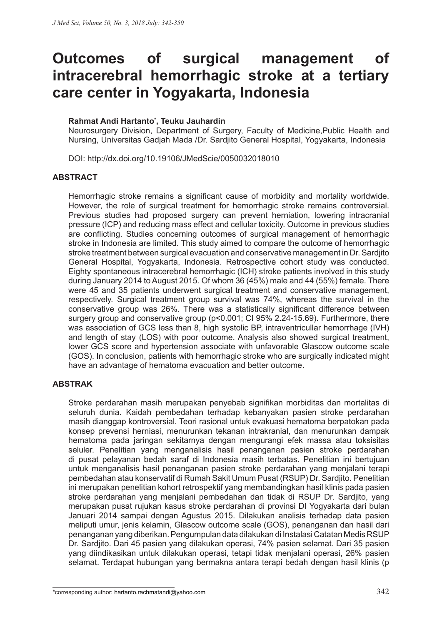# **Outcomes of surgical management of intracerebral hemorrhagic stroke at a tertiary care center in Yogyakarta, Indonesia**

# **Rahmat Andi Hartanto\* , Teuku Jauhardin**

Neurosurgery Division, Department of Surgery, Faculty of Medicine,Public Health and Nursing, Universitas Gadjah Mada /Dr. Sardjito General Hospital, Yogyakarta, Indonesia

DOI: http://dx.doi.org/10.19106/JMedScie/0050032018010

## **ABSTRACT**

Hemorrhagic stroke remains a significant cause of morbidity and mortality worldwide. However, the role of surgical treatment for hemorrhagic stroke remains controversial. Previous studies had proposed surgery can prevent herniation, lowering intracranial pressure (ICP) and reducing mass effect and cellular toxicity. Outcome in previous studies are conflicting. Studies concerning outcomes of surgical management of hemorrhagic stroke in Indonesia are limited. This study aimed to compare the outcome of hemorrhagic stroke treatment between surgical evacuation and conservative management in Dr. Sardjito General Hospital, Yogyakarta, Indonesia. Retrospective cohort study was conducted. Eighty spontaneous intracerebral hemorrhagic (ICH) stroke patients involved in this study during January 2014 to August 2015. Of whom 36 (45%) male and 44 (55%) female. There were 45 and 35 patients underwent surgical treatment and conservative management, respectively. Surgical treatment group survival was 74%, whereas the survival in the conservative group was 26%. There was a statistically significant difference between surgery group and conservative group (p<0.001; CI 95% 2.24-15.69). Furthermore, there was association of GCS less than 8, high systolic BP, intraventricullar hemorrhage (IVH) and length of stay (LOS) with poor outcome. Analysis also showed surgical treatment, lower GCS score and hypertension associate with unfavorable Glascow outcome scale (GOS). In conclusion, patients with hemorrhagic stroke who are surgically indicated might have an advantage of hematoma evacuation and better outcome.

# **ABSTRAK**

Stroke perdarahan masih merupakan penyebab signifikan morbiditas dan mortalitas di seluruh dunia. Kaidah pembedahan terhadap kebanyakan pasien stroke perdarahan masih dianggap kontroversial. Teori rasional untuk evakuasi hematoma berpatokan pada konsep prevensi herniasi, menurunkan tekanan intrakranial, dan menurunkan dampak hematoma pada jaringan sekitarnya dengan mengurangi efek massa atau toksisitas seluler. Penelitian yang menganalisis hasil penanganan pasien stroke perdarahan di pusat pelayanan bedah saraf di Indonesia masih terbatas. Penelitian ini bertujuan untuk menganalisis hasil penanganan pasien stroke perdarahan yang menjalani terapi pembedahan atau konservatif di Rumah Sakit Umum Pusat (RSUP) Dr. Sardjito. Penelitian ini merupakan penelitian kohort retrospektif yang membandingkan hasil klinis pada pasien stroke perdarahan yang menjalani pembedahan dan tidak di RSUP Dr. Sardjito, yang merupakan pusat rujukan kasus stroke perdarahan di provinsi DI Yogyakarta dari bulan Januari 2014 sampai dengan Agustus 2015. Dilakukan analisis terhadap data pasien meliputi umur, jenis kelamin, Glascow outcome scale (GOS), penanganan dan hasil dari penanganan yang diberikan. Pengumpulan data dilakukan di Instalasi Catatan Medis RSUP Dr. Sardjito. Dari 45 pasien yang dilakukan operasi, 74% pasien selamat. Dari 35 pasien yang diindikasikan untuk dilakukan operasi, tetapi tidak menjalani operasi, 26% pasien selamat. Terdapat hubungan yang bermakna antara terapi bedah dengan hasil klinis (p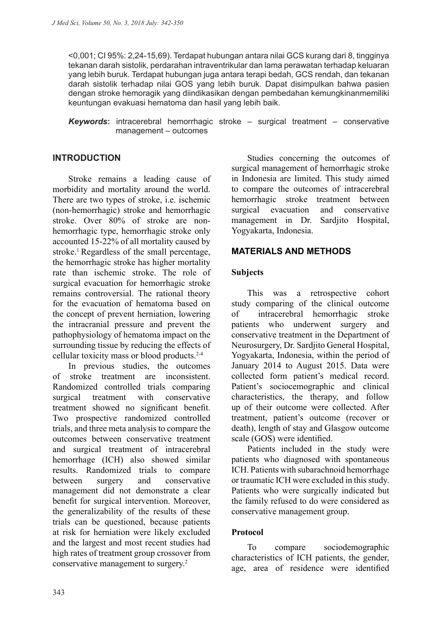<0,001; CI 95%: 2,24-15,69). Terdapat hubungan antara nilai GCS kurang dari 8, tingginya tekanan darah sistolik, perdarahan intraventrikular dan lama perawatan terhadap keluaran yang lebih buruk. Terdapat hubungan juga antara terapi bedah, GCS rendah, dan tekanan darah sistolik terhadap nilai GOS yang lebih buruk. Dapat disimpulkan bahwa pasien dengan stroke hemoragik yang diindikasikan dengan pembedahan kemungkinanmemiliki keuntungan evakuasi hematoma dan hasil yang lebih baik.

*Keywords***:** intracerebral hemorrhagic stroke – surgical treatment – conservative management – outcomes

# **INTRODUCTION**

Stroke remains a leading cause of morbidity and mortality around the world. There are two types of stroke, i.e. ischemic (non-hemorrhagic) stroke and hemorrhagic stroke. Over 80% of stroke are nonhemorrhagic type, hemorrhagic stroke only accounted 15-22% of all mortality caused by stroke.<sup>1</sup> Regardless of the small percentage, the hemorrhagic stroke has higher mortality rate than ischemic stroke. The role of surgical evacuation for hemorrhagic stroke remains controversial. The rational theory for the evacuation of hematoma based on the concept of prevent herniation, lowering the intracranial pressure and prevent the pathophysiology of hematoma impact on the surrounding tissue by reducing the effects of cellular toxicity mass or blood products.2-4

In previous studies, the outcomes of stroke treatment are inconsistent. Randomized controlled trials comparing surgical treatment with conservative treatment showed no significant benefit. Two prospective randomized controlled trials, and three meta analysis to compare the outcomes between conservative treatment and surgical treatment of intracerebral hemorrhage (ICH) also showed similar results. Randomized trials to compare between surgery and conservative management did not demonstrate a clear benefit for surgical intervention. Moreover, the generalizability of the results of these trials can be questioned, because patients at risk for herniation were likely excluded and the largest and most recent studies had high rates of treatment group crossover from conservative management to surgery.2

Studies concerning the outcomes of surgical management of hemorrhagic stroke in Indonesia are limited. This study aimed to compare the outcomes of intracerebral hemorrhagic stroke treatment between surgical evacuation and conservative management in Dr. Sardjito Hospital, Yogyakarta, Indonesia.

## **MATERIALS AND METHODS**

#### **Subjects**

This was a retrospective cohort study comparing of the clinical outcome of intracerebral hemorrhagic stroke patients who underwent surgery and conservative treatment in the Department of Neurosurgery, Dr. Sardjito General Hospital, Yogyakarta, Indonesia, within the period of January 2014 to August 2015. Data were collected form patient's medical record. Patient's sociocemographic and clinical characteristics, the therapy, and follow up of their outcome were collected. After treatment, patient's outcome (recover or death), length of stay and Glasgow outcome scale (GOS) were identified.

Patients included in the study were patients who diagnosed with spontaneous ICH. Patients with subarachnoid hemorrhage or traumatic ICH were excluded in this study. Patients who were surgically indicated but the family refused to do were considered as conservative management group.

#### **Protocol**

To compare sociodemographic characteristics of ICH patients, the gender, age, area of residence were identified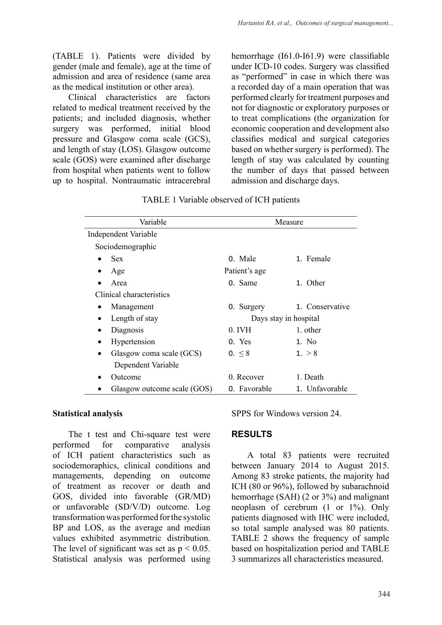(TABLE 1). Patients were divided by gender (male and female), age at the time of admission and area of residence (same area as the medical institution or other area).

Clinical characteristics are factors related to medical treatment received by the patients; and included diagnosis, whether surgery was performed, initial blood pressure and Glasgow coma scale (GCS), and length of stay (LOS). Glasgow outcome scale (GOS) were examined after discharge from hospital when patients went to follow up to hospital. Nontraumatic intracerebral hemorrhage (I61.0-I61.9) were classifiable under ICD-10 codes. Surgery was classified as "performed" in case in which there was a recorded day of a main operation that was performed clearly for treatment purposes and not for diagnostic or exploratory purposes or to treat complications (the organization for economic cooperation and development also classifies medical and surgical categories based on whether surgery is performed). The length of stay was calculated by counting the number of days that passed between admission and discharge days.

| Variable                    | Measure               |                 |  |  |  |  |
|-----------------------------|-----------------------|-----------------|--|--|--|--|
| Independent Variable        |                       |                 |  |  |  |  |
| Sociodemographic            |                       |                 |  |  |  |  |
| <b>Sex</b>                  | 0. Male               | 1. Female       |  |  |  |  |
| Age                         | Patient's age         |                 |  |  |  |  |
| Area                        | 0. Same               | 1. Other        |  |  |  |  |
| Clinical characteristics    |                       |                 |  |  |  |  |
| Management                  | 0. Surgery            | 1. Conservative |  |  |  |  |
| Length of stay              | Days stay in hospital |                 |  |  |  |  |
| Diagnosis                   | 0. IVH                | 1. other        |  |  |  |  |
| Hypertension<br>$\bullet$   | 0. Yes                | 1. No           |  |  |  |  |
| Glasgow coma scale (GCS)    | $0. \leq 8$           | 1. > 8          |  |  |  |  |
| Dependent Variable          |                       |                 |  |  |  |  |
| Outcome                     | 0. Recover            | 1. Death        |  |  |  |  |
| Glasgow outcome scale (GOS) | 0. Favorable          | 1. Unfavorable  |  |  |  |  |

TABLE 1 Variable observed of ICH patients

#### **Statistical analysis**

The t test and Chi-square test were performed for comparative analysis of ICH patient characteristics such as sociodemoraphics, clinical conditions and managements, depending on outcome of treatment as recover or death and GOS, divided into favorable (GR/MD) or unfavorable (SD/V/D) outcome. Log transformation was performed for the systolic BP and LOS, as the average and median values exhibited asymmetric distribution. The level of significant was set as  $p < 0.05$ . Statistical analysis was performed using SPPS for Windows version 24.

# **RESULTS**

A total 83 patients were recruited between January 2014 to August 2015. Among 83 stroke patients, the majority had ICH (80 or 96%), followed by subarachnoid hemorrhage (SAH) (2 or 3%) and malignant neoplasm of cerebrum (1 or 1%). Only patients diagnosed with IHC were included, so total sample analysed was 80 patients. TABLE 2 shows the frequency of sample based on hospitalization period and TABLE 3 summarizes all characteristics measured.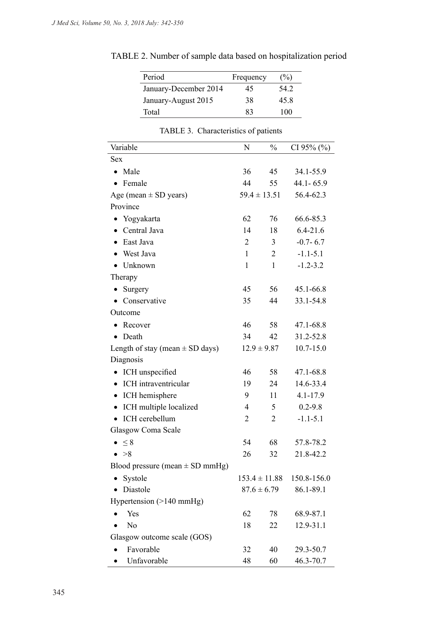| Period                | Frequency | $(\%)$ |
|-----------------------|-----------|--------|
| January-December 2014 | 45        | 54 2   |
| January-August 2015   | 38        | 45.8   |
| Total                 | 83        | 100    |

TABLE 2. Number of sample data based on hospitalization period

| Variable                            | N                 | $\frac{0}{0}$    | CI 95% $(\%$  |
|-------------------------------------|-------------------|------------------|---------------|
| <b>Sex</b>                          |                   |                  |               |
| Male<br>$\bullet$                   | 36                | 45               | 34.1-55.9     |
| Female<br>$\bullet$                 | 44                | 55               | 44.1 - 65.9   |
| Age (mean $\pm$ SD years)           |                   | $59.4 \pm 13.51$ | 56.4-62.3     |
| Province                            |                   |                  |               |
| • Yogyakarta                        | 62                | 76               | 66.6-85.3     |
| Central Java                        | 14                | 18               | $6.4 - 21.6$  |
| East Java                           | $\overline{2}$    | 3                | $-0.7 - 6.7$  |
| West Java                           | $\mathbf{1}$      | 2                | $-1.1 - 5.1$  |
| Unknown                             | $\mathbf{1}$      | $\mathbf{1}$     | $-1.2 - 3.2$  |
| Therapy                             |                   |                  |               |
| Surgery<br>٠                        | 45                | 56               | 45.1-66.8     |
| Conservative                        | 35                | 44               | 33.1-54.8     |
| Outcome                             |                   |                  |               |
| Recover                             | 46                | 58               | 47.1-68.8     |
| Death<br>٠                          | 34                | 42               | 31.2-52.8     |
| Length of stay (mean $\pm$ SD days) |                   | $12.9 \pm 9.87$  | $10.7 - 15.0$ |
| Diagnosis                           |                   |                  |               |
| ICH unspecified                     | 46                | 58               | 47.1-68.8     |
| ICH intraventricular<br>$\bullet$   | 19                | 24               | 14.6-33.4     |
| ICH hemisphere<br>٠                 | 9                 | 11               | 4.1-17.9      |
| ICH multiple localized<br>$\bullet$ | 4                 | 5                | $0.2 - 9.8$   |
| ICH cerebellum<br>$\bullet$         | $\overline{2}$    | $\overline{2}$   | $-1.1 - 5.1$  |
| Glasgow Coma Scale                  |                   |                  |               |
| $\leq 8$                            | 54                | 68               | 57.8-78.2     |
| >8                                  | 26                | 32               | 21.8-42.2     |
| Blood pressure (mean $\pm$ SD mmHg) |                   |                  |               |
| Systole                             | $153.4 \pm 11.88$ |                  | 150.8-156.0   |
| Diastole                            |                   | $87.6 \pm 6.79$  | 86.1-89.1     |
| Hypertension $(>140 \text{ mmHg})$  |                   |                  |               |
| Yes                                 | 62                | 78               | 68.9-87.1     |
| No                                  | 18                | 22               | 12.9-31.1     |
| Glasgow outcome scale (GOS)         |                   |                  |               |
| Favorable                           | 32                | 40               | 29.3-50.7     |
| Unfavorable                         | 48                | 60               | 46.3-70.7     |

 $T$ <sup>ADIE</sup> 3. Characteristics of patients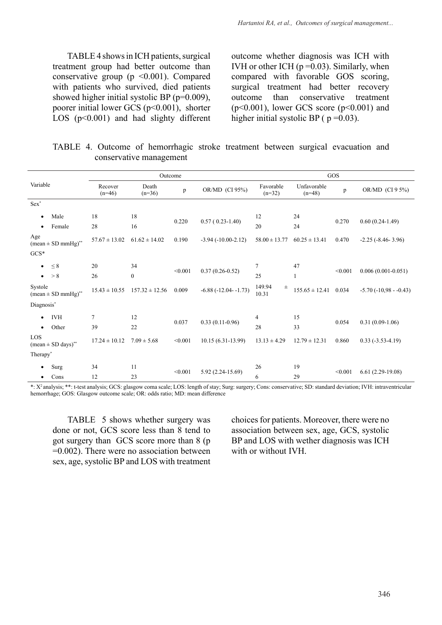TABLE 4 shows in ICH patients, surgical treatment group had better outcome than conservative group ( $p \le 0.001$ ). Compared with patients who survived, died patients showed higher initial systolic BP (p=0.009), poorer initial lower GCS (p<0.001), shorter LOS  $(p<0.001)$  and had slighty different outcome whether diagnosis was ICH with IVH or other ICH  $(p=0.03)$ . Similarly, when compared with favorable GOS scoring, surgical treatment had better recovery outcome than conservative treatment  $(p<0.001)$ , lower GCS score  $(p<0.001)$  and higher initial systolic BP ( $p = 0.03$ ).

|  | TABLE 4. Outcome of hemorrhagic stroke treatment between surgical evacuation and |  |  |  |
|--|----------------------------------------------------------------------------------|--|--|--|
|  | conservative management                                                          |  |  |  |

| Outcome                                     |                     |                    |              |                      | GOS                         |                         |         |                            |
|---------------------------------------------|---------------------|--------------------|--------------|----------------------|-----------------------------|-------------------------|---------|----------------------------|
| Variable                                    | Recover<br>$(n=46)$ | Death<br>$(n=36)$  | $\, {\bf p}$ | OR/MD (CI 95%)       | Favorable<br>$(n=32)$       | Unfavorable<br>$(n=48)$ | p       | OR/MD (CI 9 5%)            |
| $Sex^*$                                     |                     |                    |              |                      |                             |                         |         |                            |
| Male<br>$\bullet$                           | 18                  | 18                 | 0.220        | $0.57(0.23-1.40)$    | 12                          | 24                      | 0.270   | $0.60(0.24-1.49)$          |
| Female<br>$\bullet$                         | 28                  | 16                 |              |                      | 20                          | 24                      |         |                            |
| Age<br>$(mean \pm SD mmHg)$ <sup>**</sup>   | $57.67 \pm 13.02$   | $61.62 \pm 14.02$  | 0.190        | $-3.94(-10.00-2.12)$ | $58.00 \pm 13.77$           | $60.25 \pm 13.41$       | 0.470   | $-2.25$ ( $-8.46 - 3.96$ ) |
| $GCS*$                                      |                     |                    |              |                      |                             |                         |         |                            |
| $\leq 8$<br>$\bullet$                       | 20                  | 34                 | < 0.001      | $0.37(0.26 - 0.52)$  | $\overline{7}$              | 47                      | < 0.001 | $0.006(0.001 - 0.051)$     |
| $\bullet \quad > 8$                         | 26                  | $\boldsymbol{0}$   |              |                      | 25                          | 1                       |         |                            |
| Systole<br>$mean \pm SD \text{ mmHg})^{**}$ | $15.43 \pm 10.55$   | $157.32 \pm 12.56$ | 0.009        | $-6.88(-12.04-1.73)$ | 149.94<br>$_{\pm}$<br>10.31 | $155.65 \pm 12.41$      | 0.034   | $-5.70(-10.98 - 0.43)$     |
| Diagnosis*                                  |                     |                    |              |                      |                             |                         |         |                            |
| <b>IVH</b><br>$\bullet$                     | $\overline{7}$      | 12                 | 0.037        |                      | $\overline{4}$              | 15                      | 0.054   | $0.31(0.09-1.06)$          |
| Other<br>$\bullet$                          | 39                  | 22                 |              | $0.33(0.11-0.96)$    | 28                          | 33                      |         |                            |
| LOS<br>$(mean \pm SD \text{ days})^{**}$    | $17.24 \pm 10.12$   | $7.09 \pm 5.68$    | < 0.001      | $10.15(6.31-13.99)$  | $13.13 \pm 4.29$            | $12.79 \pm 12.31$       | 0.860   | $0.33(-3.53-4.19)$         |
| Therapy <sup>*</sup>                        |                     |                    |              |                      |                             |                         |         |                            |
| Surg<br>$\bullet$                           | 34                  | 11                 | < 0.001      | $5.92(2.24-15.69)$   | 26                          | 19                      | < 0.001 | $6.61(2.29-19.08)$         |
| Cons<br>٠                                   | 12                  | 23                 |              |                      | 6                           | 29                      |         |                            |

\*: X2 analysis; \*\*: t-test analysis; GCS: glasgow coma scale; LOS: length of stay; Surg: surgery; Cons: conservative; SD: standard deviation; IVH: intraventricular hemorrhage; GOS: Glasgow outcome scale; OR: odds ratio; MD: mean difference

TABLE 5 shows whether surgery was done or not, GCS score less than 8 tend to got surgery than GCS score more than 8 (p  $=0.002$ ). There were no association between sex, age, systolic BP and LOS with treatment choices for patients. Moreover, there were no association between sex, age, GCS, systolic BP and LOS with wether diagnosis was ICH with or without IVH.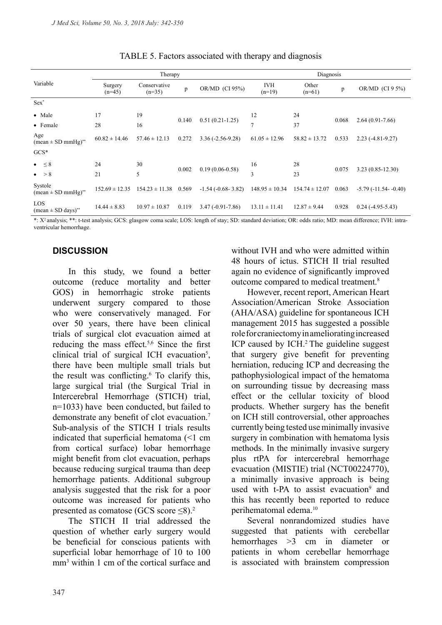|                                               |                     | Therapy                  |       | Diagnosis                  |                        |                    |       |                        |
|-----------------------------------------------|---------------------|--------------------------|-------|----------------------------|------------------------|--------------------|-------|------------------------|
| Variable                                      | Surgery<br>$(n=45)$ | Conservative<br>$(n=35)$ | p     | OR/MD (CI 95%)             | <b>IVH</b><br>$(n=19)$ | Other<br>$(n=61)$  | p     | OR/MD $(CI 9 5%)$      |
| $Sex^*$                                       |                     |                          |       |                            |                        |                    |       |                        |
| • Male                                        | 17                  | 19                       | 0.140 | $0.51(0.21-1.25)$          | 12                     | 24                 | 0.068 | $2.64(0.91 - 7.66)$    |
| • Female                                      | 28                  | 16                       |       |                            | $\overline{7}$         | 37                 |       |                        |
| Age<br>$mean \pm SD \text{ mmHg})^{**}$       | $60.82 \pm 14.46$   | $57.46 \pm 12.13$        | 0.272 | $3.36(-2.56-9.28)$         | $61.05 \pm 12.96$      | $58.82 \pm 13.72$  | 0.533 | $2.23(-4.81-9.27)$     |
| $GCS*$                                        |                     |                          |       |                            |                        |                    |       |                        |
| $\bullet \quad \leq 8$                        | 24                  | 30                       | 0.002 | $0.19(0.06 - 0.58)$        | 16                     | 28                 | 0.075 | $3.23(0.85 - 12.30)$   |
| $\bullet \quad > 8$                           | 21                  | 5                        |       |                            | 3                      | 23                 |       |                        |
| Systole<br>$(mean \pm SD mmHg)$ <sup>**</sup> | $152.69 \pm 12.35$  | $154.23 \pm 11.38$       | 0.569 | $-1.54$ ( $-0.68 - 3.82$ ) | $148.95 \pm 10.34$     | $154.74 \pm 12.07$ | 0.063 | $-5.79(-11.54 - 0.40)$ |
| LOS<br>$(mean \pm SD \text{ days})^{**}$      | $14.44 \pm 8.83$    | $10.97 \pm 10.87$        | 0.119 | $3.47(-0.91 - 7.86)$       | $13.11 \pm 11.41$      | $12.87 \pm 9.44$   | 0.928 | $0.24(-4.95-5.43)$     |

TABLE 5. Factors associated with therapy and diagnosis

\*: X2 analysis; \*\*: t-test analysis; GCS: glasgow coma scale; LOS: length of stay; SD: standard deviation; OR: odds ratio; MD: mean difference; IVH: intraventricular hemorrhage.

# **DISCUSSION**

In this study, we found a better outcome (reduce mortality and better GOS) in hemorrhagic stroke patients underwent surgery compared to those who were conservatively managed. For over 50 years, there have been clinical trials of surgical clot evacuation aimed at reducing the mass effect.<sup>5,6</sup> Since the first clinical trial of surgical ICH evacuation<sup>5</sup>, there have been multiple small trials but the result was conflicting.<sup>6</sup> To clarify this, large surgical trial (the Surgical Trial in Intercerebral Hemorrhage (STICH) trial, n=1033) have been conducted, but failed to demonstrate any benefit of clot evacuation.<sup>7</sup> Sub-analysis of the STICH I trials results indicated that superficial hematoma (<1 cm from cortical surface) lobar hemorrhage might benefit from clot evacuation, perhaps because reducing surgical trauma than deep hemorrhage patients. Additional subgroup analysis suggested that the risk for a poor outcome was increased for patients who presented as comatose (GCS score ≤8).<sup>2</sup>

The STICH II trial addressed the question of whether early surgery would be beneficial for conscious patients with superficial lobar hemorrhage of 10 to 100 mm3 within 1 cm of the cortical surface and without IVH and who were admitted within 48 hours of ictus. STICH II trial resulted again no evidence of significantly improved outcome compared to medical treatment.8

However, recent report, American Heart Association/American Stroke Association (AHA/ASA) guideline for spontaneous ICH management 2015 has suggested a possible role for craniectomy in ameliorating increased ICP caused by ICH.<sup>2</sup> The guideline suggest that surgery give benefit for preventing herniation, reducing ICP and decreasing the pathophysiological impact of the hematoma on surrounding tissue by decreasing mass effect or the cellular toxicity of blood products. Whether surgery has the benefit on ICH still controversial, other approaches currently being tested use minimally invasive surgery in combination with hematoma lysis methods. In the minimally invasive surgery plus rtPA for intercerebral hemorrhage evacuation (MISTIE) trial (NCT00224770), a minimally invasive approach is being used with t-PA to assist evacuation<sup>9</sup> and this has recently been reported to reduce perihematomal edema.10

Several nonrandomized studies have suggested that patients with cerebellar hemorrhages >3 cm in diameter or patients in whom cerebellar hemorrhage is associated with brainstem compression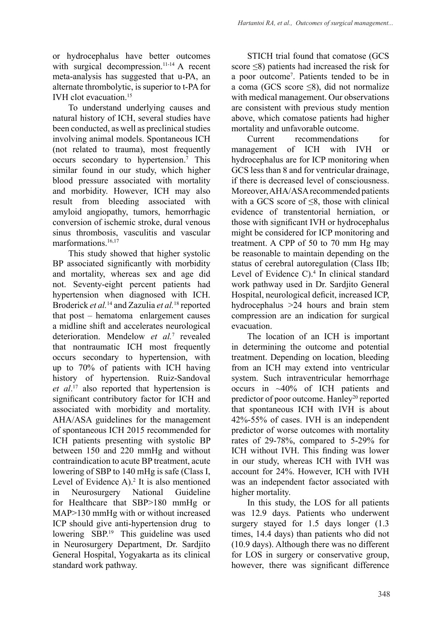# or hydrocephalus have better outcomes with surgical decompression.<sup>11-14</sup> A recent meta-analysis has suggested that u-PA, an alternate thrombolytic, is superior to t-PA for IVH clot evacuation.<sup>15</sup>

To understand underlying causes and natural history of ICH, several studies have been conducted, as well as preclinical studies involving animal models. Spontaneous ICH (not related to trauma), most frequently occurs secondary to hypertension.<sup>7</sup> This similar found in our study, which higher blood pressure associated with mortality and morbidity. However, ICH may also result from bleeding associated with amyloid angiopathy, tumors, hemorrhagic conversion of ischemic stroke, dural venous sinus thrombosis, vasculitis and vascular marformations.<sup>16,17</sup>

This study showed that higher systolic BP associated significantly with morbidity and mortality, whereas sex and age did not. Seventy-eight percent patients had hypertension when diagnosed with ICH. Broderick *et al.*14 and Zazulia *et al.*18 reported that post – hematoma enlargement causes a midline shift and accelerates neurological deterioration. Mendelow *et al.*<sup>7</sup> revealed that nontraumatic ICH most frequently occurs secondary to hypertension, with up to 70% of patients with ICH having history of hypertension. Ruiz-Sandoval *et al*. 17 also reported that hypertension is significant contributory factor for ICH and associated with morbidity and mortality. AHA/ASA guidelines for the management of spontaneous ICH 2015 recommended for ICH patients presenting with systolic BP between 150 and 220 mmHg and without contraindication to acute BP treatment, acute lowering of SBP to 140 mHg is safe (Class I, Level of Evidence  $A$ ).<sup>2</sup> It is also mentioned in Neurosurgery National Guideline for Healthcare that SBP>180 mmHg or MAP>130 mmHg with or without increased ICP should give anti-hypertension drug to lowering SBP.19 This guideline was used in Neurosurgery Department, Dr. Sardjito General Hospital, Yogyakarta as its clinical standard work pathway.

STICH trial found that comatose (GCS score <8) patients had increased the risk for a poor outcome7 . Patients tended to be in a coma (GCS score  $\leq 8$ ), did not normalize with medical management. Our observations are consistent with previous study mention above, which comatose patients had higher mortality and unfavorable outcome.

Current recommendations for management of ICH with IVH or hydrocephalus are for ICP monitoring when GCS less than 8 and for ventricular drainage, if there is decreased level of consciousness. Moreover, AHA/ASA recommended patients with a GCS score of ≤8, those with clinical evidence of transtentorial herniation, or those with significant IVH or hydrocephalus might be considered for ICP monitoring and treatment. A CPP of 50 to 70 mm Hg may be reasonable to maintain depending on the status of cerebral autoregulation (Class IIb; Level of Evidence C).<sup>4</sup> In clinical standard work pathway used in Dr. Sardjito General Hospital, neurological deficit, increased ICP, hydrocephalus >24 hours and brain stem compression are an indication for surgical evacuation.

The location of an ICH is important in determining the outcome and potential treatment. Depending on location, bleeding from an ICH may extend into ventricular system. Such intraventricular hemorrhage occurs in ~40% of ICH patients and predictor of poor outcome. Hanley<sup>20</sup> reported that spontaneous ICH with IVH is about 42%-55% of cases. IVH is an independent predictor of worse outcomes with mortality rates of 29-78%, compared to 5-29% for ICH without IVH. This finding was lower in our study, whereas ICH with IVH was account for 24%. However, ICH with IVH was an independent factor associated with higher mortality.

In this study, the LOS for all patients was 12.9 days. Patients who underwent surgery stayed for 1.5 days longer  $(1.3)$ times, 14.4 days) than patients who did not (10.9 days). Although there was no different for LOS in surgery or conservative group, however, there was significant difference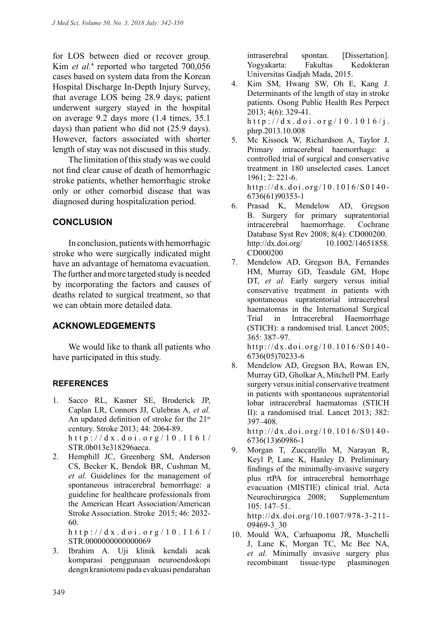for LOS between died or recover group. Kim *et al.*<sup>4</sup> reported who targeted 700,056 cases based on system data from the Korean Hospital Discharge In-Depth Injury Survey, that average LOS being 28.9 days; patient underwent surgery stayed in the hospital on average 9.2 days more (1.4 times, 35.1 days) than patient who did not (25.9 days). However, factors associated with shorter length of stay was not discused in this study.

The limitation of this study was we could not find clear cause of death of hemorrhagic stroke patients, whether hemorrhagic stroke only or other comorbid disease that was diagnosed during hospitalization period.

## **CONCLUSION**

In conclusion, patients with hemorrhagic stroke who were surgically indicated might have an advantage of hematoma evacuation. The further and more targeted study is needed by incorporating the factors and causes of deaths related to surgical treatment, so that we can obtain more detailed data.

#### **ACKNOWLEDGEMENTS**

We would like to thank all patients who have participated in this study.

#### **REFERENCES**

- 1. Sacco RL, Kasner SE, Broderick JP, Caplan LR, Connors JJ, Culebras A, *et al.* An updated definition of stroke for the 21st century. Stroke 2013; 44: 2064-89. http://dx.doi.org/10.1161/ STR.0b013e318296aeca.
- 2. Hemphill JC, Greenberg SM, Anderson CS, Becker K, Bendok BR, Cushman M, *et al.* Guidelines for the management of spontaneous intracerebral hemorrhage: a guideline for healthcare professionals from the American Heart Association/American Stroke Association. Stroke 2015; 46: 2032- 60.

http://dx.doi.org/10.1161/ STR.0000000000000069

3. Ibrahim A. Uji klinik kendali acak komparasi penggunaan neuroendoskopi dengn kraniotomi pada evakuasi pendarahan intraserebral spontan. [Dissertation]. Yogyakarta: Fakultas Kedokteran Universitas Gadjah Mada, 2015.

- 4. Kim SM, Hwang SW, Oh E, Kang J. Determinants of the length of stay in stroke patients. Osong Public Health Res Perpect 2013; 4(6): 329-41. http://dx.doi.org/10.1016/j. phrp.2013.10.008
- 5. Mc Kissock W, Richardson A, Taylor J. Primary intracerebral haemorrhage: a controlled trial of surgical and conservative treatment in 180 unselected cases. Lancet 1961; 2: 221-6. http://dx.doi.org/10.1016/S0140- 6736(61)90353-1
- 6. Prasad K, Mendelow AD, Gregson B. Surgery for primary supratentorial intracerebral haemorrhage. Cochrane Database Syst Rev 2008; 8(4): CD000200. http://dx.doi.org/ 10.1002/14651858. CD000200
- 7. Mendelow AD, Gregson BA, Fernandes HM, Murray GD, Teasdale GM, Hope DT, *et al.* Early surgery versus initial conservative treatment in patients with spontaneous supratentorial intracerebral haematomas in the International Surgical Trial in Intracerebral Haemorrhage (STICH): a randomised trial. Lancet 2005; 365: 387–97. http://dx.doi.org/10.1016/S0140-

6736(05)70233-6

8. Mendelow AD, Gregson BA, Rowan EN, Murray GD, Gholkar A, Mitchell PM. Early surgery versus initial conservative treatment in patients with spontaneous supratentorial lobar intracerebral haematomas (STICH II): a randomised trial. Lancet 2013; 382: 397–408.

http://dx.doi.org/10.1016/S0140- 6736(13)60986-1

- 9. Morgan T, Zuccarello M, Narayan R, Keyl P, Lane K, Hanley D. Preliminary findings of the minimally-invasive surgery plus rtPA for intracerebral hemorrhage evacuation (MISTIE) clinical trial. Acta Neurochirurgica 2008; Supplementum 105: 147–51. http://dx.doi.org/10.1007/978-3-211- 09469-3\_30
- 10. Mould WA, Carhuapoma JR, Muschelli J, Lane K, Morgan TC, Mc Bee NA, *et al.* Minimally invasive surgery plus recombinant tissue-type plasminogen